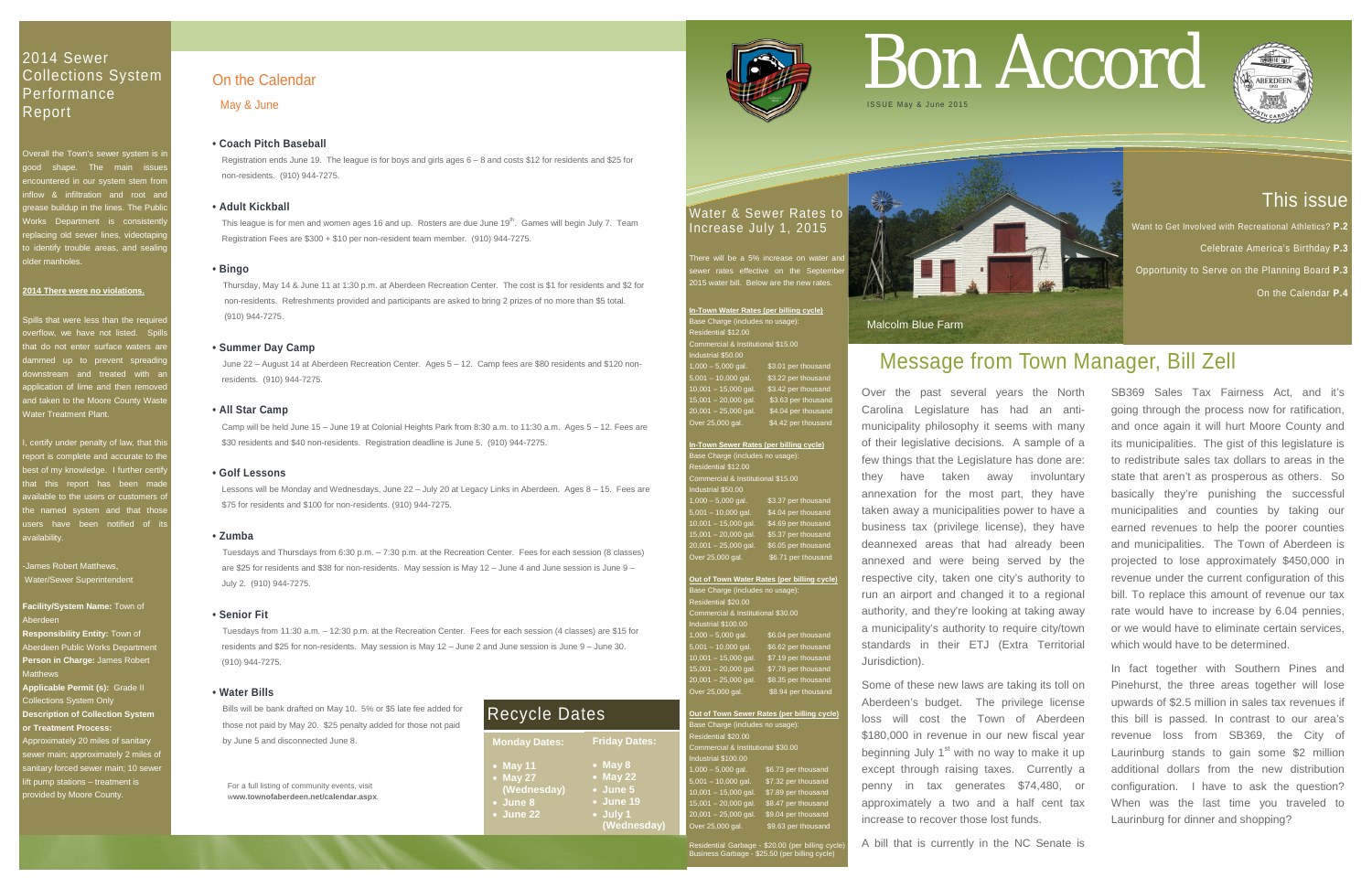# This issue

Want to Get Involved with Recreational Athletics? **P.2** 

- Celebrate America's Birthday **P.3**
- Opportunity to Serve on the Planning Board **P.3**
	- On the Calendar **P.4**

## 2014 Sewer Collections System **Performance** Report

**Overall the Town's sewer system is in** lood shape. The main issue ncountered in our system stem fror iflow & infiltration and root an ease buildup in the lines. The Publi Vorks Department is consistentl **Production** old sewer lines, videotaping  $i$  identify trouble areas, and sealing lder manholes.

ills that were less than the require erflow, we have not listed. Spill nat do not enter surface waters are nmed up to prevent spreadir wnstream and treated with a oplication of lime and then remove and taken to the Moore County Wast Water Treatment Plant.

#### **2014 There were no violations.**

of certify under penalty of law, that this eport is complete and accurate to the best of my knowledge. I further certify hat this report has been mad ble to the users or customers of he named system and that those isers have been notified of it availability.

James Robert Matthews, Water/Sewer Superintendent

**In-Town Water Rates (per billing cycle)** ase Charge (includes no usage):  $\overline{\mathsf{s}}$ idential \$12.00 $\overline{\phantom{0}}$ mmercial & Institutional \$15.00 Industrial \$50.00 \$3.01 per thousand \$3.22 per thousand 10,001 – 15,000 gal. \$3.42 per thousand \$3.63 per thousand  $0,001 - 25,000$  gal.  $$4.04$  per thousand Over 25,000 gal. \$4.42 per thousand

**Facility/System Name:** Town of Aberdeen

**Responsibility Entity:** Town of Aberdeen Public Works Department **Person in Charge:** James Robert Matthews

**Applicable Permit (s):** Grade II Collections System Only **Description of Collection System or Treatment Process:**

**Out of Town Sewer Rates (per billing cycle)** ase Charge (includes no usage esidential \$20.00 ommercial & Institutional \$30.00 ustrial \$100.00  $1,000 - 5,000$  gal. \$6.73 per thous  $-10,000$  gal.  $$7.32$  per thousand 0,001 – 15,000 gal. \$7.89 per<br>5 001 – 20.000 gal = \$8.47 pe 15,001 – 20,000 gal. \$8.47 per thousand<br>15,001 – 25,000 gal. \$9.04 per thousand \$9.04 per thousand  $\overline{O}$  over 25,000 gal.  $\overline{S}$  \$9.63 per thousand

Approximately 20 miles of sanitary ewer main; approximately 2 miles of anitary forced sewer main; 10 sewe ft pump stations – treatment is provided by Moore County.

### Water & Sewer Rates to Increase July 1, 2015

here will be a 5% increase on water and es effective on the S  $215$  water bill. Below are the new rate

This league is for men and women ages 16 and up. Rosters are due June 19<sup>th</sup>. Games will begin July 7. Team Registration Fees are \$300 + \$10 per non-resident team member. (910) 944-7275.

| In-Town Sewer Rates (per billing cycle)     |                     |  |
|---------------------------------------------|---------------------|--|
| Base Charge (includes no usage):            |                     |  |
| Residential \$12.00                         |                     |  |
| Commercial & Institutional \$15.00          |                     |  |
| Industrial \$50.00                          |                     |  |
| $1,000 - 5,000$ gal.                        | \$3.37 per thousand |  |
| $5,001 - 10,000$ gal.                       | \$4.04 per thousand |  |
| $10,001 - 15,000$ gal.                      | \$4.69 per thousand |  |
| $15,001 - 20,000$ gal.                      | \$5.37 per thousand |  |
| $20,001 - 25,000$ gal.                      | \$6.05 per thousand |  |
| Over 25,000 gal.                            | \$6.71 per thousand |  |
|                                             |                     |  |
| Out of Town Water Rates (per billing cycle) |                     |  |
|                                             |                     |  |

| Base Charge (includes no usage):   |                     |  |
|------------------------------------|---------------------|--|
| Residential \$20.00                |                     |  |
| Commercial & Institutional \$30.00 |                     |  |
| Industrial \$100.00                |                     |  |
| $1,000 - 5,000$ gal.               | \$6.04 per thousand |  |
| $5,001 - 10,000$ gal.              | \$6.62 per thousand |  |
| $10,001 - 15,000$ gal.             | \$7.19 per thousand |  |
| $15,001 - 20,000$ gal.             | \$7.78 per thousand |  |
| 20,001 - 25,000 gal.               | \$8.35 per thousand |  |
| Over 25,000 gal.                   | \$8.94 per thousand |  |

Residential Garbage - \$20.00 (per billing cycle) Business Garbage - \$25.50 (per billing cycle)



For a full listing of community events, visit w**ww.townofaberdeen.net/calendar.aspx**.

# On the Calendar

May & June

#### **• Coach Pitch Baseball**

 Registration ends June 19. The league is for boys and girls ages 6 – 8 and costs \$12 for residents and \$25 for non-residents. (910) 944-7275.

#### **• Adult Kickball**

#### **• Bingo**

Thursday, May 14 & June 11 at 1:30 p.m. at Aberdeen Recreation Center. The cost is \$1 for residents and \$2 for non-residents. Refreshments provided and participants are asked to bring 2 prizes of no more than \$5 total. (910) 944-7275.

#### **• Summer Day Camp**

June 22 – August 14 at Aberdeen Recreation Center. Ages 5 – 12. Camp fees are \$80 residents and \$120 non residents. (910) 944-7275.

#### **• All Star Camp**

 Camp will be held June 15 – June 19 at Colonial Heights Park from 8:30 a.m. to 11:30 a.m. Ages 5 – 12. Fees are \$30 residents and \$40 non-residents. Registration deadline is June 5. (910) 944-7275.

#### **• Golf Lessons**

 Lessons will be Monday and Wednesdays, June 22 – July 20 at Legacy Links in Aberdeen. Ages 8 – 15. Fees are \$75 for residents and \$100 for non-residents. (910) 944-7275.

#### **• Zumba**

Tuesdays and Thursdays from 6:30 p.m. – 7:30 p.m. at the Recreation Center. Fees for each session (8 classes) are \$25 for residents and \$38 for non-residents. May session is May 12 – June 4 and June session is June 9 – July 2. (910) 944-7275.

#### **• Senior Fit**

Tuesdays from 11:30 a.m. – 12:30 p.m. at the Recreation Center. Fees for each session (4 classes) are \$15 for residents and \$25 for non-residents. May session is May 12 – June 2 and June session is June 9 – June 30. (910) 944-7275.

#### **• Water Bills**

Bills will be bank drafted on May 10. 5% or \$5 late fee added for those not paid by May 20. \$25 penalty added for those not paid by June 5 and disconnected June 8.

# Bon Accord





# Message from Town Manager, Bill Zell

Over the past several years the North Carolina Legislature has had an antimunicipality philosophy it seems with many of their legislative decisions. A sample of a few things that the Legislature has done are: they have taken away involuntary annexation for the most part, they have taken away a municipalities power to have a business tax (privilege license), they have deannexed areas that had already been annexed and were being served by the respective city, taken one city's authority to run an airport and changed it to a regional authority, and they're looking at taking away a municipality's authority to require city/town standards in their ETJ (Extra Territorial Jurisdiction).

Some of these new laws are taking its toll on Aberdeen's budget. The privilege license loss will cost the Town of Aberdeen \$180,000 in revenue in our new fiscal year beginning July  $1<sup>st</sup>$  with no way to make it up except through raising taxes. Currently a penny in tax generates \$74,480, or approximately a two and a half cent tax increase to recover those lost funds.

A bill that is currently in the NC Senate is

SB369 Sales Tax Fairness Act, and it's going through the process now for ratification, and once again it will hurt Moore County and its municipalities. The gist of this legislature is to redistribute sales tax dollars to areas in the state that aren't as prosperous as others. So basically they're punishing the successful municipalities and counties by taking our earned revenues to help the poorer counties and municipalities. The Town of Aberdeen is projected to lose approximately \$450,000 in revenue under the current configuration of this bill. To replace this amount of revenue our tax rate would have to increase by 6.04 pennies, or we would have to eliminate certain services, which would have to be determined.

In fact together with Southern Pines and Pinehurst, the three areas together will lose upwards of \$2.5 million in sales tax revenues if this bill is passed. In contrast to our area's revenue loss from SB369, the City of Laurinburg stands to gain some \$2 million additional dollars from the new distribution configuration. I have to ask the question? When was the last time you traveled to Laurinburg for dinner and shopping?



| <b>Monday Dates:</b>                                                         | <b>Friday Dates:</b>                                                                    |
|------------------------------------------------------------------------------|-----------------------------------------------------------------------------------------|
| $\bullet$ May 11<br>• May 27<br>(Wednesday)<br>• June 8<br>$\bullet$ June 22 | $\bullet$ May 8<br>• May 22<br>$\bullet$ June 5<br>• June 19<br>• July 1<br>(Wednesday) |



# Recycle Dates

Malcolm Blue Farm